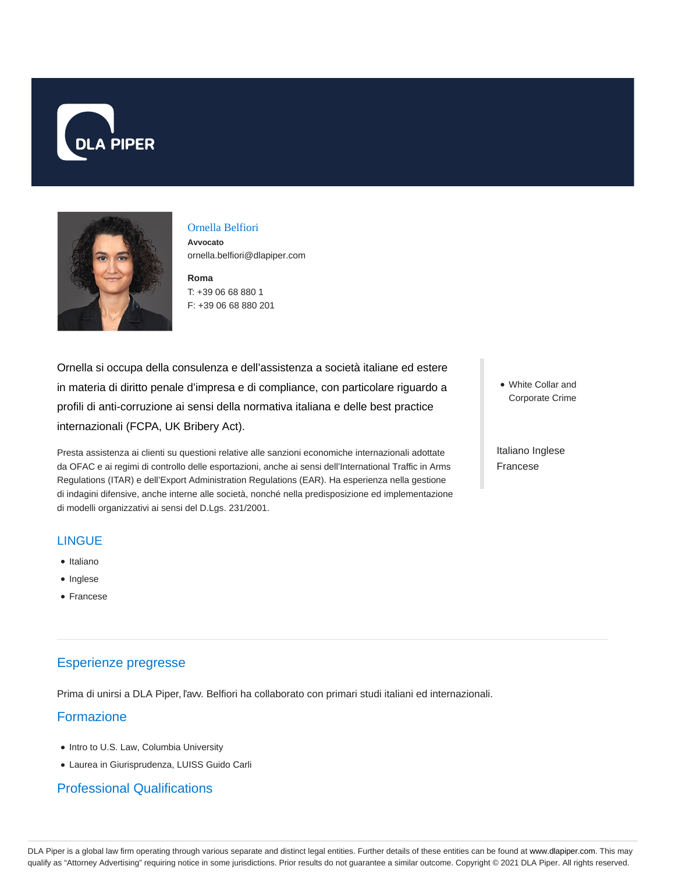



#### Ornella Belfiori

**Avvocato** ornella.belfiori@dlapiper.com

**Roma** T: +39 06 68 880 1 F: +39 06 68 880 201

Ornella si occupa della consulenza e dell'assistenza a società italiane ed estere in materia di diritto penale d'impresa e di compliance, con particolare riguardo a profili di anti-corruzione ai sensi della normativa italiana e delle best practice internazionali (FCPA, UK Bribery Act).

Presta assistenza ai clienti su questioni relative alle sanzioni economiche internazionali adottate da OFAC e ai regimi di controllo delle esportazioni, anche ai sensi dell'International Traffic in Arms Regulations (ITAR) e dell'Export Administration Regulations (EAR). Ha esperienza nella gestione di indagini difensive, anche interne alle società, nonché nella predisposizione ed implementazione di modelli organizzativi ai sensi del D.Lgs. 231/2001.

#### **LINGUE**

- Italiano
- Inglese
- Francese

# Esperienze pregresse

Prima di unirsi a DLA Piper, l'avv. Belfiori ha collaborato con primari studi italiani ed internazionali.

## Formazione

- Intro to U.S. Law, Columbia University
- Laurea in Giurisprudenza, LUISS Guido Carli

### Professional Qualifications

White Collar and Corporate Crime

Italiano Inglese Francese